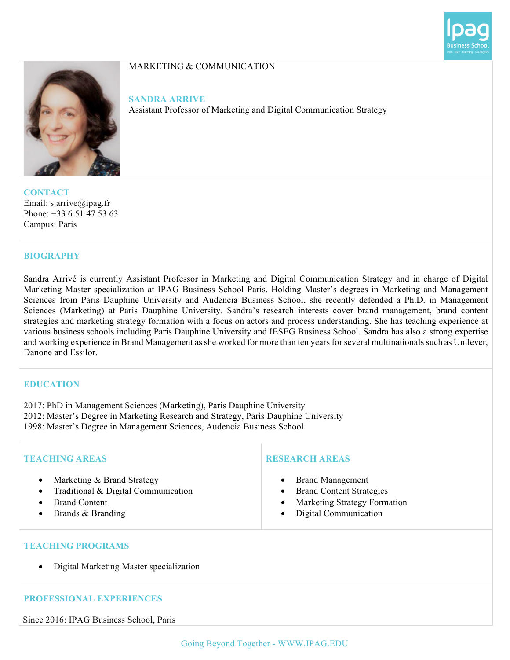



# MARKETING & COMMUNICATION

**SANDRA ARRIVE**

Assistant Professor of Marketing and Digital Communication Strategy

**CONTACT** Email: s.arrive@ipag.fr Phone: +33 6 51 47 53 63 Campus: Paris

## **BIOGRAPHY**

Sandra Arrivé is currently Assistant Professor in Marketing and Digital Communication Strategy and in charge of Digital Marketing Master specialization at IPAG Business School Paris. Holding Master's degrees in Marketing and Management Sciences from Paris Dauphine University and Audencia Business School, she recently defended a Ph.D. in Management Sciences (Marketing) at Paris Dauphine University. Sandra's research interests cover brand management, brand content strategies and marketing strategy formation with a focus on actors and process understanding. She has teaching experience at various business schools including Paris Dauphine University and IESEG Business School. Sandra has also a strong expertise and working experience in Brand Management as she worked for more than ten years for several multinationals such as Unilever, Danone and Essilor.

# **EDUCATION**

2017: PhD in Management Sciences (Marketing), Paris Dauphine University 2012: Master's Degree in Marketing Research and Strategy, Paris Dauphine University

1998: Master's Degree in Management Sciences, Audencia Business School

| <b>TEACHING AREAS</b>                                                                                                                    | <b>RESEARCH AREAS</b>                                                                                                                                                   |
|------------------------------------------------------------------------------------------------------------------------------------------|-------------------------------------------------------------------------------------------------------------------------------------------------------------------------|
| Marketing & Brand Strategy<br>$\bullet$<br>Traditional & Digital Communication<br>$\bullet$<br><b>Brand Content</b><br>Brands & Branding | <b>Brand Management</b><br>$\bullet$<br><b>Brand Content Strategies</b><br>$\bullet$<br>Marketing Strategy Formation<br>$\bullet$<br>Digital Communication<br>$\bullet$ |
| <b>TEACHING PROGRAMS</b>                                                                                                                 |                                                                                                                                                                         |
| Digital Marketing Master specialization<br>$\bullet$                                                                                     |                                                                                                                                                                         |
| <b>PROFESSIONAL EXPERIENCES</b>                                                                                                          |                                                                                                                                                                         |

Since 2016: IPAG Business School, Paris